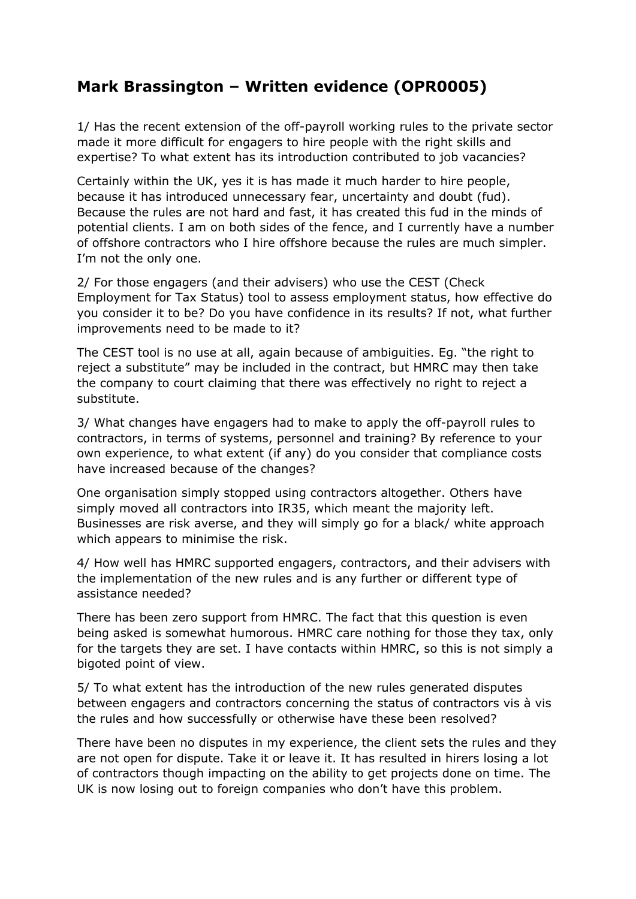## **Mark Brassington – Written evidence (OPR0005)**

1/ Has the recent extension of the off-payroll working rules to the private sector made it more difficult for engagers to hire people with the right skills and expertise? To what extent has its introduction contributed to job vacancies?

Certainly within the UK, yes it is has made it much harder to hire people, because it has introduced unnecessary fear, uncertainty and doubt (fud). Because the rules are not hard and fast, it has created this fud in the minds of potential clients. I am on both sides of the fence, and I currently have a number of offshore contractors who I hire offshore because the rules are much simpler. I'm not the only one.

2/ For those engagers (and their advisers) who use the CEST (Check Employment for Tax Status) tool to assess employment status, how effective do you consider it to be? Do you have confidence in its results? If not, what further improvements need to be made to it?

The CEST tool is no use at all, again because of ambiguities. Eg. "the right to reject a substitute" may be included in the contract, but HMRC may then take the company to court claiming that there was effectively no right to reject a substitute.

3/ What changes have engagers had to make to apply the off-payroll rules to contractors, in terms of systems, personnel and training? By reference to your own experience, to what extent (if any) do you consider that compliance costs have increased because of the changes?

One organisation simply stopped using contractors altogether. Others have simply moved all contractors into IR35, which meant the majority left. Businesses are risk averse, and they will simply go for a black/ white approach which appears to minimise the risk.

4/ How well has HMRC supported engagers, contractors, and their advisers with the implementation of the new rules and is any further or different type of assistance needed?

There has been zero support from HMRC. The fact that this question is even being asked is somewhat humorous. HMRC care nothing for those they tax, only for the targets they are set. I have contacts within HMRC, so this is not simply a bigoted point of view.

5/ To what extent has the introduction of the new rules generated disputes between engagers and contractors concerning the status of contractors vis à vis the rules and how successfully or otherwise have these been resolved?

There have been no disputes in my experience, the client sets the rules and they are not open for dispute. Take it or leave it. It has resulted in hirers losing a lot of contractors though impacting on the ability to get projects done on time. The UK is now losing out to foreign companies who don't have this problem.